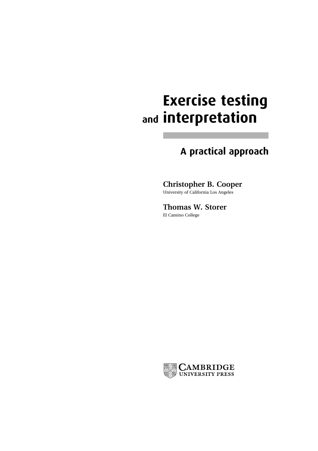# **Exercise testing and interpretation**

# **A practical approach**

**Christopher B. Cooper** University of California Los Angeles

**Thomas W. Storer** El Camino College

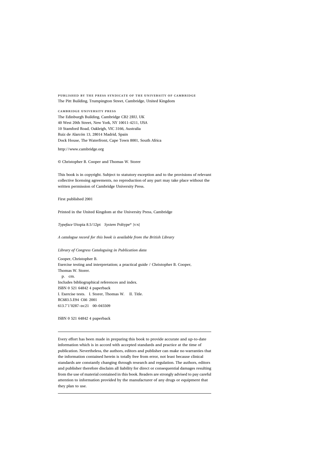published by the press syndicate of the university of cambridge The Pitt Building, Trumpington Street, Cambridge, United Kingdom

cambridge university press The Edinburgh Building, Cambridge CB2 2RU, UK 40 West 20th Street, New York, NY 10011-4211, USA 10 Stamford Road, Oakleigh, VIC 3166, Australia Ruiz de Alarcón 13, 28014 Madrid, Spain Dock House, The Waterfront, Cape Town 8001, South Africa

http://www.cambridge.org

© Christopher B. Cooper and Thomas W. Storer

This book is in copyright. Subject to statutory exception and to the provisions of relevant collective licensing agreements, no reproduction of any part may take place without the written permission of Cambridge University Press.

First published 2001

Printed in the United Kingdom at the University Press, Cambridge

*Typeface* Utopia 8.5/12pt *System* Poltype® [vn]

*A catalogue record for this book is available from the British Library*

*Library of Congress Cataloguing in Publication data*

Cooper, Christopher B. Exercise testing and interpretation; a practical guide / Christopher B. Cooper, Thomas W. Storer. p. cm. Includes bibliographical references and index. ISBN 0 521 64842 4 paperback I. Exercise tests. I. Storer, Thomas W. II. Title. RC683.5.E94 C66 2001 613.7'1'0287-Dc21 00-045509

ISBN 0 521 64842 4 paperback

Every effort has been made in preparing this book to provide accurate and up-to-date information which is in accord with accepted standards and practice at the time of publication. Nevertheless, the authors, editors and publisher can make no warranties that the information contained herein is totally free from error, not least because clinical standards are constantly changing through research and regulation. The authors, editors and publisher therefore disclaim all liability for direct or consequential damages resulting from the use of material contained in this book. Readers are strongly advised to pay careful attention to information provided by the manufacturer of any drugs or equipment that they plan to use.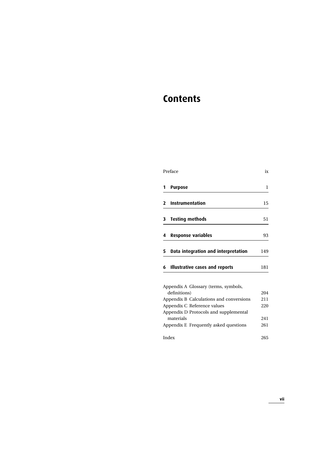# **Contents**

| Preface                                 |                                       | ix  |
|-----------------------------------------|---------------------------------------|-----|
| 1                                       | <b>Purpose</b>                        | 1   |
| 2                                       | Instrumentation                       | 15  |
| 3                                       | <b>Testing methods</b>                | 51  |
| 4                                       | Response variables                    | 93  |
| 5.                                      | Data integration and interpretation   | 149 |
|                                         | 6 Illustrative cases and reports      | 181 |
|                                         | Appendix A Glossary (terms, symbols,  | 204 |
| definitions)                            |                                       |     |
| Appendix B Calculations and conversions |                                       |     |
|                                         | Appendix C Reference values           | 220 |
|                                         | Appendix D Protocols and supplemental |     |
|                                         | materials                             | 241 |

Appendix E Frequently asked questions 261

Index 265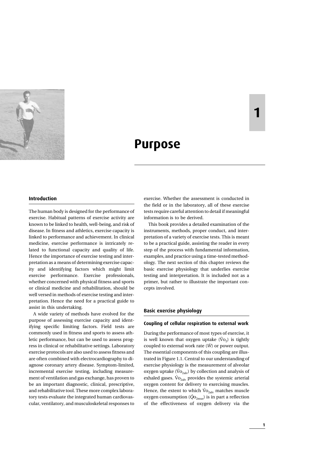

# **Purpose**

#### **Introduction**

The human body is designed for the performance of exercise. Habitual patterns of exercise activity are known to be linked to health, well-being, and risk of disease. In fitness and athletics, exercise capacity is linked to performance and achievement. In clinical medicine, exercise performance is intricately related to functional capacity and quality of life. Hence the importance of exercise testing and interpretation as a means of determining exercise capacity and identifying factors which might limit exercise performance. Exercise professionals, whether concerned with physical fitness and sports or clinical medicine and rehabilitation, should be well versed in methods of exercise testing and interpretation. Hence the need for a practical guide to assist in this undertaking.

A wide variety of methods have evolved for the purpose of assessing exercise capacity and identifying specific limiting factors. Field tests are commonly used in fitness and sports to assess athletic performance, but can be used to assess progress in clinical or rehabilitative settings. Laboratory exercise protocols are also used to assess fitness and are often combined with electrocardiography to diagnose coronary artery disease. Symptom-limited, incremental exercise testing, including measurement of ventilation and gas exchange, has proven to be an important diagnostic, clinical, prescriptive, and rehabilitative tool. These more complex laboratory tests evaluate the integrated human cardiovascular, ventilatory, and musculoskeletal responses to

exercise. Whether the assessment is conducted in the field or in the laboratory, all of these exercise tests require careful attention to detail if meaningful information is to be derived.

This book provides a detailed examination of the instruments, methods, proper conduct, and interpretation of a variety of exercise tests. This is meant to be a practical guide, assisting the reader in every step of the process with fundamental information, examples, and practice using a time-tested methodology. The next section of this chapter reviews the basic exercise physiology that underlies exercise testing and interpretation. It is included not as a primer, but rather to illustrate the important concepts involved.

#### **Basic exercise physiology**

#### **Coupling of cellular respiration to external work**

During the performance of most types of exercise, it is well known that oxygen uptake  $(\dot{V}o_2)$  is tightly coupled to external work rate ( $\dot{W}$ ) or power output. The essential components of this coupling are illustrated in Figure 1.1. Central to our understanding of exercise physiology is the measurement of alveolar oxygen uptake ( $\dot{V}o_{2\text{adv}}$ ) by collection and analysis of exhaled gases.  $\dot{V}_{O_{2a|v}}$  provides the systemic arterial oxygen content for delivery to exercising muscles. Hence, the extent to which  $\rm \dot{Vo}_{2\rm alv}$  matches muscle oxygen consumption ( $\dot{Q}o_{2\text{mus}}$ ) is in part a reflection of the effectiveness of oxygen delivery via the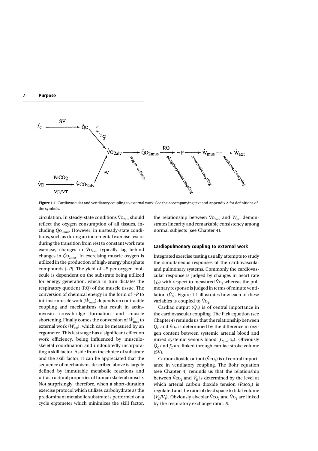

Figure 1.1 Cardiovascular and ventilatory coupling to external work. See the accompanying text and Appendix A for definitions of the symbols.

circulation. In steady-state conditions  $\mathrm{Vo}_{2\text{adv}}$  should reflect the oxygen consumption of all tissues, including  $\dot{Q}o_{2mus}$ . However, in unsteady-state conditions, such as during an incremental exercise test or during the transition from rest to constant work rate exercise, changes in  $\rm{\dot{V}o}_{2alv}$  typically lag behind changes in  $\dot{Q}o_{2mus}$ . In exercising muscle oxygen is utilized in the production of high-energy phosphate compounds (~*P*). The yield of ~*P* per oxygen molecule is dependent on the substrate being utilized for energy generation, which in turn dictates the respiratory quotient (RQ) of the muscle tissue. The conversion of chemical energy in the form of ~*P* to intrinsic muscle work  $(W_{\text{mus}})$  depends on contractile coupling and mechanisms that result in actin– myosin cross-bridge formation and muscle shortening. Finally comes the conversion of  $\dot{W}_{\text{max}}$  to external work  $(\dot{W}_{ext})$ , which can be measured by an ergometer. This last stage has a significant effect on work efficiency, being influenced by musculoskeletal coordination and undoubtedly incorporating a skill factor. Aside from the choice of substrate and the skill factor, it can be appreciated that the sequence of mechanisms described above is largely defined by immutable metabolic reactions and ultrastructural properties of human skeletal muscle. Not surprisingly, therefore, when a short-duration exercise protocol which utilizes carbohydrate as the predominant metabolic substrate is performed on a cycle ergometer which minimizes the skill factor,

the relationship between  $\dot{V}_{\text{2alv}}$  and  $\dot{W}_{\text{ext}}$  demonstrates linearity and remarkable consistency among normal subjects (see Chapter 4).

#### **Cardiopulmonary coupling to external work**

Integrated exercise testing usually attempts to study the simultaneous responses of the cardiovascular and pulmonary systems. Commonly the cardiovascular response is judged by changes in heart rate  $(f_C)$  with respect to measured  $\dot{V}o_2$  whereas the pulmonary response is judged in terms of minute ventilation  $(\dot{V}_E)$ . Figure 1.1 illustrates how each of these variables is coupled to  $\dot{V}o_2$ .

Cardiac output  $(\dot{Q}_c)$  is of central importance in the cardiovascular coupling. The Fick equation (see Chapter 4) reminds us that the relationship between  $\dot{Q}_c$  and  $\dot{V}o_2$  is determined by the difference in oxygen content between systemic arterial blood and mixed systemic venous blood (C<sub>(a-v̄)</sub>O<sub>2</sub>). Obviously  $\dot{Q}_C$  and  $f_C$  are linked through cardiac stroke volume (SV).

Carbon dioxide output ( $\dot{V}CO<sub>2</sub>$ ) is of central importance in ventilatory coupling. The Bohr equation (see Chapter 4) reminds us that the relationship between  $\dot{V}$ co<sub>2</sub> and  $\dot{V}_E$  is determined by the level at which arterial carbon dioxide tension (*Pa*co<sub>2</sub>) is regulated and the ratio of dead space to tidal volume  $(V_D/V_T)$ . Obviously alveolar Vco<sub>2</sub> and Vo<sub>2</sub> are linked by the respiratory exchange ratio, *R*.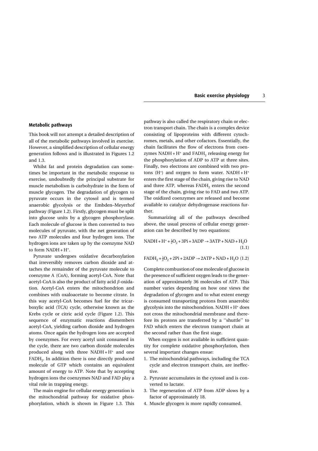#### **Basic exercise physiology** 3

#### **Metabolic pathways**

This book will not attempt a detailed description of all of the metabolic pathways involved in exercise. However, a simplified description of cellular energy generation follows and is illustrated in Figures 1.2 and 1.3.

Whilst fat and protein degradation can sometimes be important in the metabolic response to exercise, undoubtedly the principal substrate for muscle metabolism is carbohydrate in the form of muscle glycogen. The degradation of glycogen to pyruvate occurs in the cytosol and is termed anaerobic glycolysis or the Embden–Meyerhof pathway (Figure 1.2). Firstly, glycogen must be split into glucose units by a glycogen phosphorylase. Each molecule of glucose is then converted to two molecules of pyruvate, with the net generation of two ATP molecules and four hydrogen ions. The hydrogen ions are taken up by the coenzyme NAD to form  $NADH + H^+$ .

Pyruvate undergoes oxidative decarboxylation that irreversibly removes carbon dioxide and attaches the remainder of the pyruvate molecule to coenzyme A (CoA), forming acetyl-CoA. Note that acetyl-CoA is also the product of fatty acid  $\beta$ -oxidation. Acetyl-CoA enters the mitochondrion and combines with oxaloacetate to become citrate. In this way acetyl-CoA becomes fuel for the tricarboxylic acid (TCA) cycle, otherwise known as the Krebs cycle or citric acid cycle (Figure 1.2). This sequence of enzymatic reactions dismembers acetyl-CoA, yielding carbon dioxide and hydrogen atoms. Once again the hydrogen ions are accepted by coenzymes. For every acetyl unit consumed in the cycle, there are two carbon dioxide molecules produced along with three  $NADH + H<sup>+</sup>$  and one FADH<sub>2</sub>. In addition there is one directly produced molecule of GTP which contains an equivalent amount of energy to ATP. Note that by accepting hydrogen ions the coenzymes NAD and FAD play a vital role in trapping energy.

The main engine for cellular energy generation is the mitochondrial pathway for oxidative phosphorylation, which is shown in Figure 1.3. This pathway is also called the respiratory chain or electron transport chain. The chain is a complex device consisting of lipoproteins with different cytochromes, metals, and other cofactors. Essentially, the chain facilitates the flow of electrons from coenzymes  $NADH + H^+$  and  $FADH^-$ , releasing energy for the phosphorylation of ADP to ATP at three sites. Finally, two electrons are combined with two protons  $(H^+)$  and oxygen to form water. NADH +  $H^+$ enters the first stage of the chain, giving rise to NAD and three ATP, whereas FADH<sub>2</sub> enters the second stage of the chain, giving rise to FAD and two ATP. The oxidized coenzymes are released and become available to catalyze dehydrogenase reactions further.

Summarizing all of the pathways described above, the usual process of cellular energy generation can be described by two equations:

 $NADH + H^+ + \frac{1}{2}O_2 + 3Pi + 3ADP \rightarrow 3ATP + NAD + H_2O$ (1.1)

### $FADH_2 + \frac{1}{2}O_2 + 2Pi + 2ADP \rightarrow 2ATP + NAD + H_2O$  (1.2)

Complete combustion of one molecule of glucose in the presence of sufficient oxygen leads to the generation of approximately 36 molecules of ATP. This number varies depending on how one views the degradation of glycogen and to what extent energy is consumed transporting protons from anaerobic glycolysis into the mitochondrion.  $NADH + H<sup>+</sup>$  does not cross the mitochondrial membrane and therefore its protons are transferred by a ''shuttle'' to FAD which enters the electron transport chain at the second rather than the first stage.

When oxygen is not available in sufficient quantity for complete oxidative phosphorylation, then several important changes ensue:

- 1. The mitochondrial pathways, including the TCA cycle and electron transport chain, are ineffective.
- 2. Pyruvate accumulates in the cytosol and is converted to lactate.
- 3. The regeneration of ATP from ADP slows by a factor of approximately 18.
- 4. Muscle glycogen is more rapidly consumed.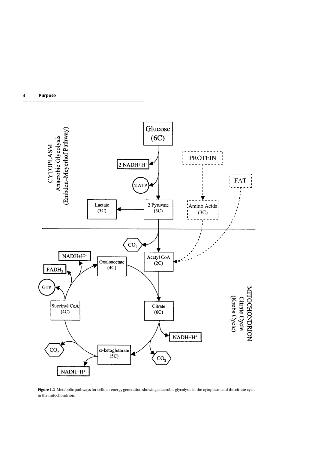

Figure 1.2 Metabolic pathways for cellular energy generation showing anaerobic glycolysis in the cytoplasm and the citrate cycle in the mitochondrion.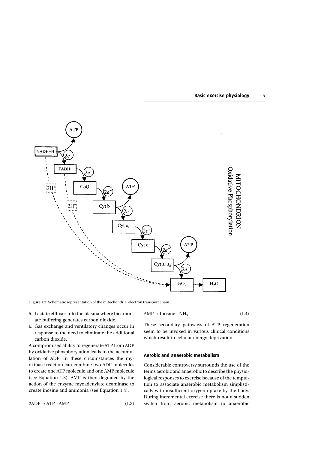**Basic exercise physiology** 5



**Figure 1.3** Schematic representation of the mitochondrial electron transport chain.

- 5. Lactate effluxes into the plasma where bicarbonate buffering generates carbon dioxide.
- 6. Gas exchange and ventilatory changes occur in response to the need to eliminate the additional carbon dioxide.

A compromised ability to regenerate ATP from ADP by oxidative phosphorylation leads to the accumulation of ADP. In these circumstances the myokinase reaction can combine two ADP molecules to create one ATP molecule and one AMP molecule (see Equation 1.3). AMP is then degraded by the action of the enzyme myoadenylate deaminase to create inosine and ammonia (see Equation 1.4).

$$
2ADP \rightarrow ATP + AMP \tag{1.3}
$$

 $AMP \rightarrow Inosine + NH<sub>3</sub>$  (1.4)

These secondary pathways of ATP regeneration seem to be invoked in various clinical conditions which result in cellular energy deprivation.

#### **Aerobic and anaerobic metabolism**

Considerable controversy surrounds the use of the terms aerobic and anaerobic to describe the physiological responses to exercise because of the temptation to associate anaerobic metabolism simplistically with insufficient oxygen uptake by the body. During incremental exercise there is not a sudden switch from aerobic metabolism to anaerobic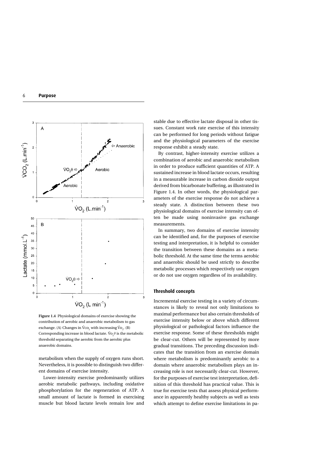

**Figure 1.4** Physiological domains of exercise showing the contribution of aerobic and anaerobic metabolism to gas exchange. (A) Changes in  $\text{Vco}_2$  with increasing  $\text{Vo}_2$ . (B) Corresponding increase in blood lactate.  $\dot{{\rm V}}{\rm o}_2\theta$  is the metabolic threshold separating the aerobic from the aerobic plus anaerobic domains.

metabolism when the supply of oxygen runs short. Nevertheless, it is possible to distinguish two different domains of exercise intensity.

Lower-intensity exercise predominantly utilizes aerobic metabolic pathways, including oxidative phosphorylation for the regeneration of ATP. A small amount of lactate is formed in exercising muscle but blood lactate levels remain low and

stable due to effective lactate disposal in other tissues. Constant work rate exercise of this intensity can be performed for long periods without fatigue and the physiological parameters of the exercise response exhibit a steady state.

By contrast, higher-intensity exercise utilizes a combination of aerobic and anaerobic metabolism in order to produce sufficient quantities of ATP. A sustained increase in blood lactate occurs, resulting in a measurable increase in carbon dioxide output derived from bicarbonate buffering, as illustrated in Figure 1.4. In other words, the physiological parameters of the exercise response do not achieve a steady state. A distinction between these two physiological domains of exercise intensity can often be made using noninvasive gas exchange measurements.

In summary, two domains of exercise intensity can be identified and, for the purposes of exercise testing and interpretation, it is helpful to consider the transition between these domains as a metabolic threshold. At the same time the terms aerobic and anaerobic should be used strictly to describe metabolic processes which respectively use oxygen or do not use oxygen regardless of its availability.

#### **Threshold concepts**

Incremental exercise testing in a variety of circumstances is likely to reveal not only limitations to maximal performance but also certain thresholds of exercise intensity below or above which different physiological or pathological factors influence the exercise response. Some of these thresholds might be clear-cut. Others will be represented by more gradual transitions. The preceding discussion indicates that the transition from an exercise domain where metabolism is predominantly aerobic to a domain where anaerobic metabolism plays an increasing role is not necessarily clear-cut. However, for the purposes of exercise test interpretation, definition of this threshold has practical value. This is true for exercise tests that assess physical performance in apparently healthy subjects as well as tests which attempt to define exercise limitations in pa-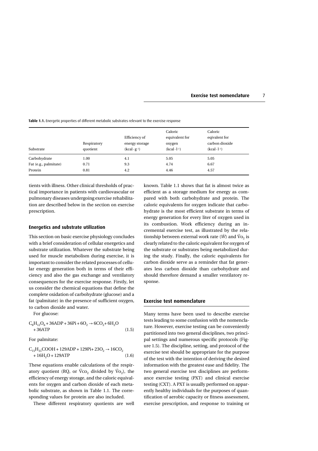**Exercise test nomenclature** 7

**Table 1.1.** Energetic properties of different metabolic substrates relevant to the exercise response

| Substrate             | Respiratory<br>quotient | Efficiency of<br>energy storage<br>$(kcal \cdot g^{-1})$ | Caloric<br>equivalent for<br>oxygen<br>$(kcal \cdot l^{-1})$ | Caloric<br>eqivalent for<br>carbon dioxide<br>$(kcal \cdot l^{-1})$ |
|-----------------------|-------------------------|----------------------------------------------------------|--------------------------------------------------------------|---------------------------------------------------------------------|
| Carbohydrate          | $1.00\,$                | 4.1                                                      | 5.05                                                         | 5.05                                                                |
| Fat (e.g., palmitate) | 0.71                    | 9.3                                                      | 4.74                                                         | 6.67                                                                |
| Protein               | 0.81                    | 4.2                                                      | 4.46                                                         | 4.57                                                                |

tients with illness. Other clinical thresholds of practical importance in patients with cardiovascular or pulmonary diseases undergoing exercise rehabilitation are described below in the section on exercise prescription.

#### **Energetics and substrate utilization**

This section on basic exercise physiology concludes with a brief consideration of cellular energetics and substrate utilization. Whatever the substrate being used for muscle metabolism during exercise, it is important to consider the related processes of cellular energy generation both in terms of their efficiency and also the gas exchange and ventilatory consequences for the exercise response. Firstly, let us consider the chemical equations that define the complete oxidation of carbohydrate (glucose) and a fat (palmitate) in the presence of sufficient oxygen, to carbon dioxide and water.

For glucose:

$$
C_6H_{12}O_6 + 36ADP + 36Pi + 6O_2 \rightarrow 6CO_2 + 6H_2O
$$
  
+ 36ATP (1.5)

For palmitate:

$$
\begin{aligned} &C_{15}H_{31}COOH+129ADP+129Pi+23O_2\rightarrow 16CO_2\\ &+16H_2O+129ATP\end{aligned} \eqno{(1.6)}
$$

These equations enable calculations of the respiratory quotient (RQ, or  $\dot{V}co_2$  divided by  $\dot{V}o_2$ ), the efficiency of energy storage, and the caloric equivalents for oxygen and carbon dioxide of each metabolic substrate, as shown in Table 1.1. The corresponding values for protein are also included.

These different respiratory quotients are well

known. Table 1.1 shows that fat is almost twice as efficient as a storage medium for energy as compared with both carbohydrate and protein. The caloric equivalents for oxygen indicate that carbohydrate is the most efficient substrate in terms of energy generation for every liter of oxygen used in its combustion. Work efficiency during an incremental exercise test, as illustrated by the relationship between external work rate ( $\dot{W}$ ) and  $\dot{V}$ o<sub>2</sub> is clearly related to the caloric equivalent for oxygen of the substrate or substrates being metabolized during the study. Finally, the caloric equivalents for carbon dioxide serve as a reminder that fat generates less carbon dioxide than carbohydrate and should therefore demand a smaller ventilatory response.

#### **Exercise test nomenclature**

Many terms have been used to describe exercise tests leading to some confusion with the nomenclature. However, exercise testing can be conveniently partitioned into two general disciplines, two principal settings and numerous specific protocols (Figure 1.5). The discipline, setting, and protocol of the exercise test should be appropriate for the purpose of the test with the intention of deriving the desired information with the greatest ease and fidelity. The two general exercise test disciplines are performance exercise testing (PXT) and clinical exercise testing (CXT). A PXT is usually performed on apparently healthy individuals for the purposes of quantification of aerobic capacity or fitness assessment, exercise prescription, and response to training or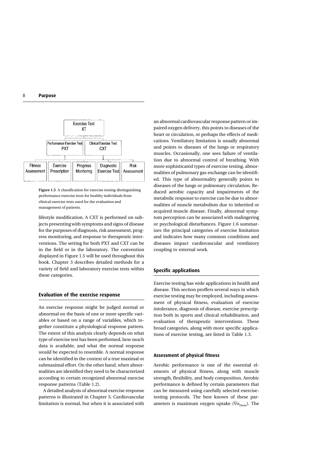

**Figure 1.5** A classification for exercise testing distinguishing performance exercise tests for healthy individuals from clinical exercise tests used for the evaluation and management of patients.

lifestyle modification. A CXT is performed on subjects presenting with symptoms and signs of disease for the purposes of diagnosis, risk assessment, progress monitoring, and response to therapeutic interventions. The setting for both PXT and CXT can be in the field or in the laboratory. The convention displayed in Figure 1.5 will be used throughout this book. Chapter 3 describes detailed methods for a variety of field and laboratory exercise tests within these categories.

#### **Evaluation of the exercise response**

An exercise response might be judged normal or abnormal on the basis of one or more specific variables or based on a range of variables, which together constitute a physiological response pattern. The extent of this analysis clearly depends on what type of exercise test has been performed, how much data is available, and what the normal response would be expected to resemble. A normal response can be identified in the context of a true maximal or submaximal effort. On the other hand, when abnormalities are identified they need to be characterized according to certain recognized abnormal exercise response patterns (Table 1.2).

A detailed analysis of abnormal exercise response patterns is illustrated in Chapter 5. Cardiovascular limitation is normal, but when it is associated with

an abnormal cardiovascular response pattern or impaired oxygen delivery, this points to diseases of the heart or circulation, or perhaps the effects of medications. Ventilatory limitation is usually abnormal and points to diseases of the lungs or respiratory muscles. Occasionally, one sees failure of ventilation due to abnormal control of breathing. With more sophisticated types of exercise testing, abnormalities of pulmonary gas exchange can be identified. This type of abnormality generally points to diseases of the lungs or pulmonary circulation. Reduced aerobic capacity and impairments of the metabolic response to exercise can be due to abnormalities of muscle metabolism due to inherited or acquired muscle disease. Finally, abnormal symptom perception can be associated with malingering or psychological disturbances. Figure 1.6 summarizes the principal categories of exercise limitation and indicates how many common conditions and diseases impact cardiovascular and ventilatory coupling to external work.

#### **Specific applications**

Exercise testing has wide applications in health and disease. This section proffers several ways in which exercise testing may be employed, including assessment of physical fitness, evaluation of exercise intolerance, diagnosis of disease, exercise prescription both in sports and clinical rehabilitation, and evaluation of therapeutic interventions. These broad categories, along with more specific applications of exercise testing, are listed in Table 1.3.

#### **Assessment of physical fitness**

Aerobic performance is one of the essential elements of physical fitness, along with muscle strength, flexibility, and body composition. Aerobic performance is defined by certain parameters that can be measured using carefully selected exercisetesting protocols. The best known of these parameters is maximum oxygen uptake ( $\rm\ddot{Vo}_{2max}$ ). The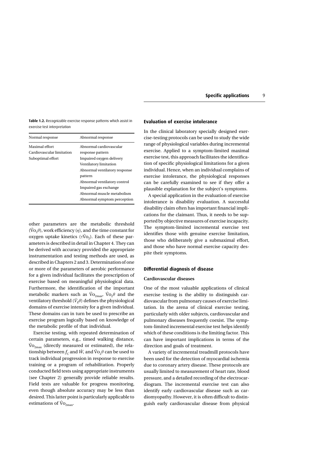**Specific applications** 9

**Table 1.2.** Recognizable exercise response patterns which assist in exercise test interpretation

| Normal response                                                  | Abnormal response                                                                                                                                                                                                                    |
|------------------------------------------------------------------|--------------------------------------------------------------------------------------------------------------------------------------------------------------------------------------------------------------------------------------|
| Maximal effort<br>Cardiovascular limitation<br>Suboptimal effort | Abnormal cardiovascular<br>response pattern<br>Impaired oxygen delivery<br>Ventilatory limitation<br>Abnormal ventilatory response<br>pattern<br>Abnormal ventilatory control<br>Impaired gas exchange<br>Abnormal muscle metabolism |
|                                                                  | Abnormal symptom perception                                                                                                                                                                                                          |

other parameters are the metabolic threshold  $(\dot{V}o_2\theta)$ , work efficiency  $(\eta)$ , and the time constant for oxygen uptake kinetics ( $\tau \dot{V}o_2$ ). Each of these parameters is described in detail in Chapter 4. They can be derived with accuracy provided the appropriate instrumentation and testing methods are used, as described in Chapters 2 and 3. Determination of one or more of the parameters of aerobic performance for a given individual facilitates the prescription of exercise based on meaningful physiological data. Furthermore, the identification of the important metabolic markers such as  $\dot{V}_{O_{2max}}$ ,  $\dot{V}_{O_2}\theta$  and the ventilatory threshold  $(\dot{V}_E \theta)$  defines the physiological domains of exercise intensity for a given individual. These domains can in turn be used to prescribe an exercise program logically based on knowledge of the metabolic profile of that individual.

Exercise testing, with repeated determination of certain parameters, e.g., timed walking distance,  $\rm{\dot{V}o}_{2max}$  (directly measured or estimated), the relationship between  $f_C$  and  $\dot{W}$ , and  $\dot{V}$ <sub>0</sub> $\theta$  can be used to track individual progression in response to exercise training or a program of rehabilitation. Properly conducted field tests using appropriate instruments (see Chapter 2) generally provide reliable results. Field tests are valuable for progress monitoring, even though absolute accuracy may be less than desired. This latter point is particularly applicable to estimations of  $\dot{V}_{O_{2\text{max}}}$ .

#### **Evaluation of exercise intolerance**

In the clinical laboratory specially designed exercise-testing protocols can be used to study the wide range of physiological variables during incremental exercise. Applied to a symptom-limited maximal exercise test, this approach facilitates the identification of specific physiological limitations for a given individual. Hence, when an individual complains of exercise intolerance, the physiological responses can be carefully examined to see if they offer a plausible explanation for the subject's symptoms.

A special application in the evaluation of exercise intolerance is disability evaluation. A successful disability claim often has important financial implications for the claimant. Thus, it needs to be supported by objective measures of exercise incapacity. The symptom-limited incremental exercise test identifies those with genuine exercise limitation, those who deliberately give a submaximal effort, and those who have normal exercise capacity despite their symptoms.

#### **Differential diagnosis of disease**

#### **Cardiovascular diseases**

One of the most valuable applications of clinical exercise testing is the ability to distinguish cardiovascular from pulmonary causes of exercise limitation. In the arena of clinical exercise testing, particularly with older subjects, cardiovascular and pulmonary diseases frequently coexist. The symptom-limited incremental exercise test helps identify which of these conditions is the limiting factor. This can have important implications in terms of the direction and goals of treatment.

A variety of incremental treadmill protocols have been used for the detection of myocardial ischemia due to coronary artery disease. These protocols are usually limited to measurement of heart rate, blood pressure, and a detailed recording of the electrocardiogram. The incremental exercise test can also identify early cardiovascular disease such as cardiomyopathy. However, it is often difficult to distinguish early cardiovascular disease from physical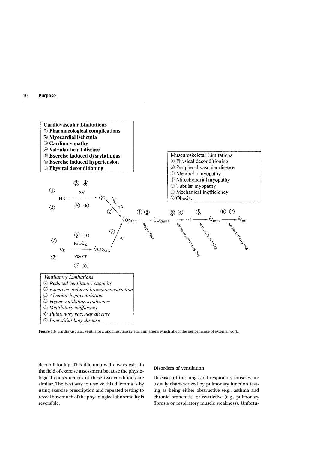

Figure 1.6 Cardiovascular, ventilatory, and musculoskeletal limitations which affect the performance of external work.

deconditioning. This dilemma will always exist in the field of exercise assessment because the physiological consequences of these two conditions are similar. The best way to resolve this dilemma is by using exercise prescription and repeated testing to reveal how much of the physiological abnormality is reversible.

#### **Disorders of ventilation**

Diseases of the lungs and respiratory muscles are usually characterized by pulmonary function testing as being either obstructive (e.g., asthma and chronic bronchitis) or restrictive (e.g., pulmonary fibrosis or respiratory muscle weakness). Unfortu-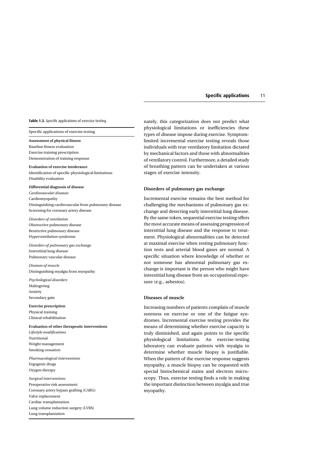### **Specific applications** 11

**Table 1.3.** Specific applications of exercise testing

Specific applications of exercise testing

**Assessment of physical fitness** Baseline fitness evaluation Exercise training prescription Demonstration of training response

**Evaluation of exercise intolerance** Identification of specific physiological limitations Disability evaluation

**DiVerential diagnosis of disease** *Cardiovascular diseases* Cardiomyopathy

Distinguishing cardiovascular from pulmonary disease Screening for coronary artery disease

*Disorders of ventilation* Obstructive pulmonary disease Restrictive pulmonary disease Hyperventilation syndrome

*Disorders of pulmonary gas exchange* Interstitial lung disease Pulmonary vascular disease

*Diseases of muscle* Distinguishing myalgia from myopathy

*Psychological disorders* Malingering Anxiety Secondary gain

**Exercise prescription** Physical training Clinical rehabilitation

**Evaluation of other therapeutic interventions**

 $L$ *ifestyle* modifications Nutritional Weight management Smoking cessation

*Pharmacological interventions* Ergogenic drugs Oxygen therapy

*Surgical interventions* Preoperative risk assessment Coronary artery bypass grafting (CABG) Valve replacement Cardiac transplantation Lung volume reduction surgery (LVRS) Lung transplantation

nately, this categorization does not predict what physiological limitations or inefficiencies these types of disease impose during exercise. Symptomlimited incremental exercise testing reveals those individuals with true ventilatory limitation dictated by mechanical factors and those with abnormalities of ventilatory control. Furthermore, a detailed study of breathing pattern can be undertaken at various stages of exercise intensity.

#### **Disorders of pulmonary gas exchange**

Incremental exercise remains the best method for challenging the mechanisms of pulmonary gas exchange and detecting early interstitial lung disease. By the same token, sequential exercise testing offers the most accurate means of assessing progression of interstitial lung disease and the response to treatment. Physiological abnormalities can be detected at maximal exercise when resting pulmonary function tests and arterial blood gases are normal. A specific situation where knowledge of whether or not someone has abnormal pulmonary gas exchange is important is the person who might have interstitial lung disease from an occupational exposure (e.g., asbestos).

#### **Diseases of muscle**

Increasing numbers of patients complain of muscle soreness on exercise or one of the fatigue syndromes. Incremental exercise testing provides the means of determining whether exercise capacity is truly diminished, and again points to the specific physiological limitations. An exercise-testing laboratory can evaluate patients with myalgia to determine whether muscle biopsy is justifiable. When the pattern of the exercise response suggests myopathy, a muscle biopsy can be requested with special histochemical stains and electron microscopy. Thus, exercise testing finds a role in making the important distinction between myalgia and true myopathy.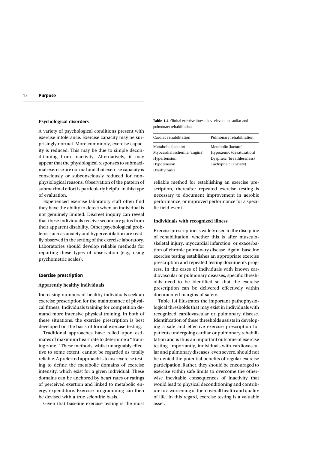#### **Psychological disorders**

A variety of psychological conditions present with exercise intolerance. Exercise capacity may be surprisingly normal. More commonly, exercise capacity is reduced. This may be due to simple deconditioning from inactivity. Alternatively, it may appear that the physiological responses to submaximal exercise are normal and that exercise capacity is consciously or subconsciously reduced for nonphysiological reasons. Observation of the pattern of submaximal effort is particularly helpful in this type of evaluation.

Experienced exercise laboratory staff often find they have the ability to detect when an individual is not genuinely limited. Discreet inquiry can reveal that these individuals receive secondary gains from their apparent disability. Other psychological problems such as anxiety and hyperventilation are readily observed in the setting of the exercise laboratory. Laboratories should develop reliable methods for reporting these types of observation (e.g., using psychometric scales).

#### **Exercise prescription**

#### **Apparently healthy individuals**

Increasing numbers of healthy individuals seek an exercise prescription for the maintenance of physical fitness. Individuals training for competition demand more intensive physical training. In both of these situations, the exercise prescription is best developed on the basis of formal exercise testing.

Traditional approaches have relied upon estimates of maximum heart rate to determine a ''training zone." These methods, whilst unarguably effective to some extent, cannot be regarded as totally reliable. A preferred approach is to use exercise testing to define the metabolic domains of exercise intensity, which exist for a given individual. These domains can be anchored by heart rates or ratings of perceived exertion and linked to metabolic energy expenditure. Exercise programming can then be devised with a true scientific basis.

Given that baseline exercise testing is the most

**Table 1.4.** Clinical exercise thresholds relevant to cardiac and pulmonary rehabilitation

| Cardiac rehabilitation       | Pulmonary rehabilitation  |
|------------------------------|---------------------------|
| Metabolic (lactate)          | Metabolic (lactate)       |
| Myocardial ischemia (angina) | Hypoxemic (desaturation)  |
| Hypertension                 | Dyspneic (breathlessness) |
| Hypotension                  | Tachypneic (anxiety)      |
| Dysrhythmia                  |                           |

reliable method for establishing an exercise prescription, thereafter repeated exercise testing is necessary to document improvement in aerobic performance, or improved performance for a specific field event.

#### **Individuals with recognized illness**

Exercise prescription is widely used in the discipline of rehabilitation, whether this is after musculoskeletal injury, myocardial infarction, or exacerbation of chronic pulmonary disease. Again, baseline exercise testing establishes an appropriate exercise prescription and repeated testing documents progress. In the cases of individuals with known cardiovascular or pulmonary diseases, specific thresholds need to be identified so that the exercise prescription can be delivered effectively within documented margins of safety.

Table 1.4 illustrates the important pathophysiological thresholds that may exist in individuals with recognized cardiovascular or pulmonary disease. Identification of these thresholds assists in developing a safe and effective exercise prescription for patients undergoing cardiac or pulmonary rehabilitation and is thus an important outcome of exercise testing. Importantly, individuals with cardiovascular and pulmonary diseases, even severe, should not be denied the potential benefits of regular exercise participation. Rather, they should be encouraged to exercise within safe limits to overcome the otherwise inevitable consequences of inactivity that would lead to physical deconditioning and contribute to a worsening of their overall health and quality of life. In this regard, exercise testing is a valuable asset.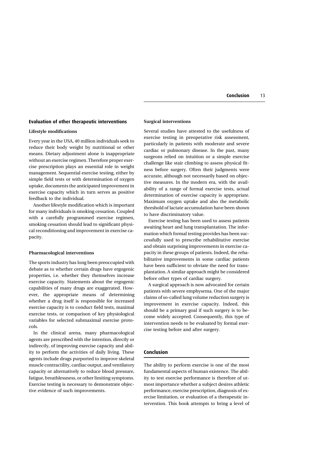#### **Conclusion** 13

#### **Evaluation of other therapeutic interventions**

#### **Lifestyle modifications**

Every year in the USA, 40 million individuals seek to reduce their body weight by nutritional or other means. Dietary adjustment alone is inappropriate without an exercise regimen. Therefore proper exercise prescription plays an essential role in weight management. Sequential exercise testing, either by simple field tests or with determination of oxygen uptake, documents the anticipated improvement in exercise capacity which in turn serves as positive feedback to the individual.

Another lifestyle modification which is important for many individuals is smoking cessation. Coupled with a carefully programmed exercise regimen, smoking cessation should lead to significant physical reconditioning and improvement in exercise capacity.

#### **Pharmacological interventions**

The sports industry has long been preoccupied with debate as to whether certain drugs have ergogenic properties, i.e. whether they themselves increase exercise capacity. Statements about the ergogenic capabilities of many drugs are exaggerated. However, the appropriate means of determining whether a drug itself is responsible for increased exercise capacity is to conduct field tests, maximal exercise tests, or comparison of key physiological variables for selected submaximal exercise protocols.

In the clinical arena, many pharmacological agents are prescribed with the intention, directly or indirectly, of improving exercise capacity and ability to perform the activities of daily living. These agents include drugs purported to improve skeletal muscle contractility, cardiac output, and ventilatory capacity or alternatively to reduce blood pressure, fatigue, breathlessness, or other limiting symptoms. Exercise testing is necessary to demonstrate objective evidence of such improvements.

#### **Surgical interventions**

Several studies have attested to the usefulness of exercise testing in preoperative risk assessment, particularly in patients with moderate and severe cardiac or pulmonary disease. In the past, many surgeons relied on intuition or a simple exercise challenge like stair climbing to assess physical fitness before surgery. Often their judgments were accurate, although not necessarily based on objective measures. In the modern era, with the availability of a range of formal exercise tests, actual determination of exercise capacity is appropriate. Maximum oxygen uptake and also the metabolic threshold of lactate accumulation have been shown to have discriminatory value.

Exercise testing has been used to assess patients awaiting heart and lung transplantation. The information which formal testing provides has been successfully used to prescribe rehabilitative exercise and obtain surprising improvements in exercise capacity in these groups of patients. Indeed, the rehabilitative improvements in some cardiac patients have been sufficient to obviate the need for transplantation. A similar approach might be considered before other types of cardiac surgery.

A surgical approach is now advocated for certain patients with severe emphysema. One of the major claims of so-called lung volume reduction surgery is improvement in exercise capacity. Indeed, this should be a primary goal if such surgery is to become widely accepted. Consequently, this type of intervention needs to be evaluated by formal exercise testing before and after surgery.

#### **Conclusion**

The ability to perform exercise is one of the most fundamental aspects of human existence. The ability to test exercise performance is therefore of utmost importance whether a subject desires athletic performance, exercise prescription, diagnosis of exercise limitation, or evaluation of a therapeutic intervention. This book attempts to bring a level of